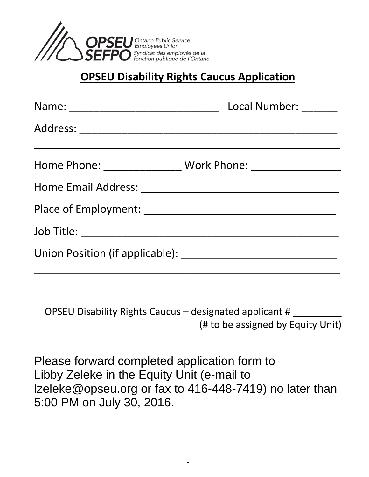

#### **OPSEU Disability Rights Caucus Application**

| Local Number: ______                                                             |
|----------------------------------------------------------------------------------|
|                                                                                  |
| Home Phone: _____________________ Work Phone: __________________________________ |
|                                                                                  |
|                                                                                  |
|                                                                                  |
|                                                                                  |

OPSEU Disability Rights Caucus – designated applicant  $#_{\_}$ (# to be assigned by Equity Unit)

Please forward completed application form to Libby Zeleke in the Equity Unit (e-mail to lzeleke@opseu.org or fax to 416-448-7419) no later than 5:00 PM on July 30, 2016.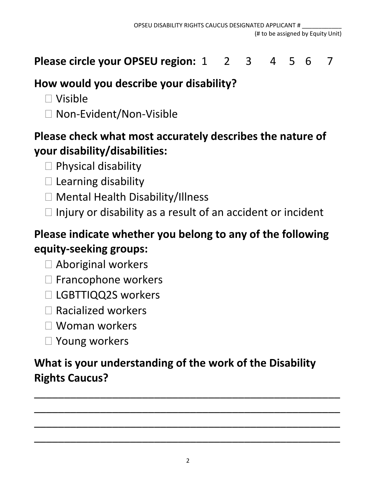**Please circle your OPSEU region:** 1 2 3 4 5 6 7

### **How would you describe your disability?**

- Visible
- □ Non-Evident/Non-Visible

# **Please check what most accurately describes the nature of your disability/disabilities:**

- $\Box$  Physical disability
- $\square$  Learning disability
- □ Mental Health Disability/Illness
- $\Box$  Injury or disability as a result of an accident or incident

# **Please indicate whether you belong to any of the following equity-seeking groups:**

- □ Aboriginal workers
- $\square$  Francophone workers
- □ LGBTTIQQ2S workers
- $\Box$  Racialized workers
- Woman workers
- □ Young workers

# **What is your understanding of the work of the Disability Rights Caucus?**

\_\_\_\_\_\_\_\_\_\_\_\_\_\_\_\_\_\_\_\_\_\_\_\_\_\_\_\_\_\_\_\_\_\_\_\_\_\_\_\_\_\_\_\_\_\_\_\_\_\_\_

\_\_\_\_\_\_\_\_\_\_\_\_\_\_\_\_\_\_\_\_\_\_\_\_\_\_\_\_\_\_\_\_\_\_\_\_\_\_\_\_\_\_\_\_\_\_\_\_\_\_\_

\_\_\_\_\_\_\_\_\_\_\_\_\_\_\_\_\_\_\_\_\_\_\_\_\_\_\_\_\_\_\_\_\_\_\_\_\_\_\_\_\_\_\_\_\_\_\_\_\_\_\_

\_\_\_\_\_\_\_\_\_\_\_\_\_\_\_\_\_\_\_\_\_\_\_\_\_\_\_\_\_\_\_\_\_\_\_\_\_\_\_\_\_\_\_\_\_\_\_\_\_\_\_